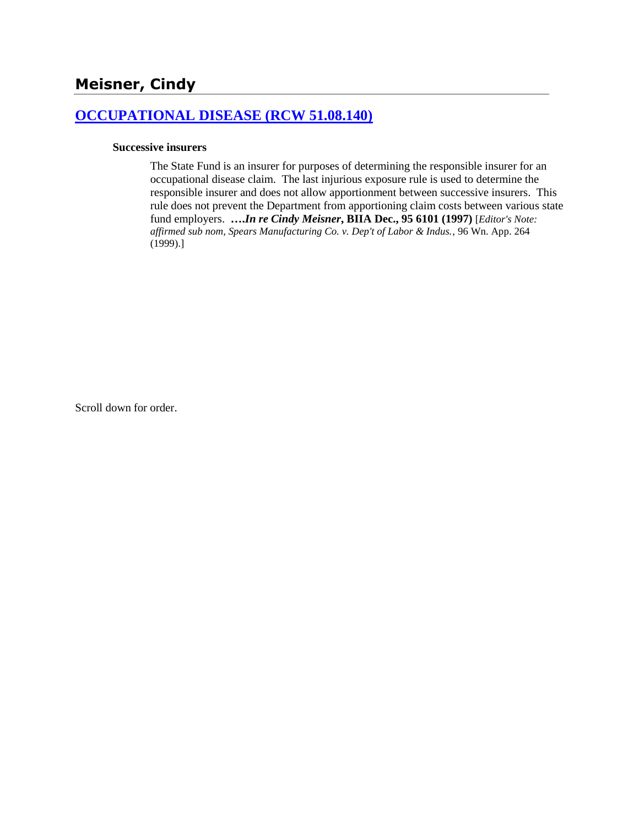## **[OCCUPATIONAL DISEASE \(RCW 51.08.140\)](http://www.biia.wa.gov/SDSubjectIndex.html#OCCUPATIONAL_DISEASE)**

#### **Successive insurers**

The State Fund is an insurer for purposes of determining the responsible insurer for an occupational disease claim. The last injurious exposure rule is used to determine the responsible insurer and does not allow apportionment between successive insurers. This rule does not prevent the Department from apportioning claim costs between various state fund employers. **….***In re Cindy Meisner***, BIIA Dec., 95 6101 (1997)** [*Editor's Note: affirmed sub nom, Spears Manufacturing Co. v. Dep't of Labor & Indus.*, 96 Wn. App. 264 (1999).]

Scroll down for order.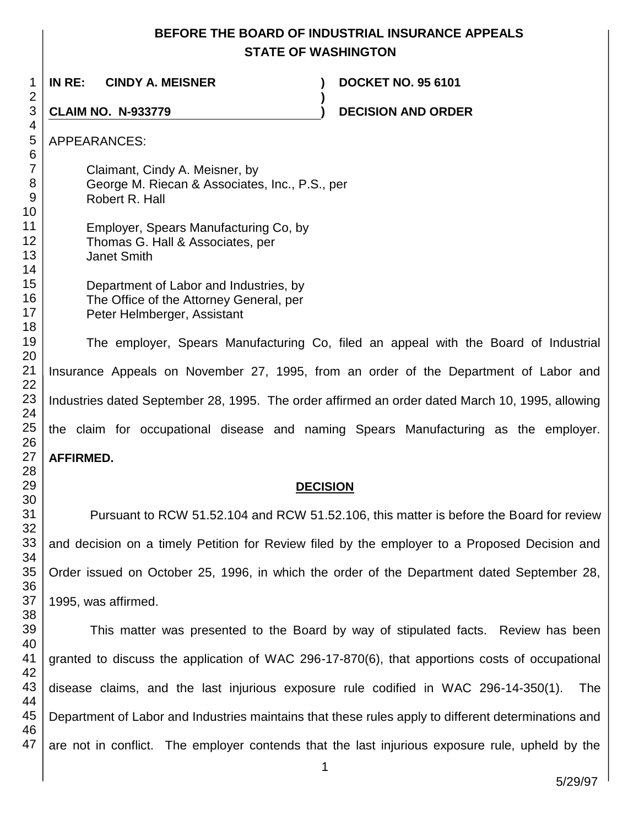# **BEFORE THE BOARD OF INDUSTRIAL INSURANCE APPEALS STATE OF WASHINGTON**

**)**

 **IN RE: CINDY A. MEISNER ) DOCKET NO. 95 6101**

**CLAIM NO. N-933779 ) DECISION AND ORDER** 

APPEARANCES:

Claimant, Cindy A. Meisner, by George M. Riecan & Associates, Inc., P.S., per Robert R. Hall

 Employer, Spears Manufacturing Co, by Thomas G. Hall & Associates, per Janet Smith

> Department of Labor and Industries, by The Office of the Attorney General, per Peter Helmberger, Assistant

The employer, Spears Manufacturing Co, filed an appeal with the Board of Industrial Insurance Appeals on November 27, 1995, from an order of the Department of Labor and Industries dated September 28, 1995. The order affirmed an order dated March 10, 1995, allowing the claim for occupational disease and naming Spears Manufacturing as the employer. **AFFIRMED.**

# **DECISION**

Pursuant to RCW 51.52.104 and RCW 51.52.106, this matter is before the Board for review and decision on a timely Petition for Review filed by the employer to a Proposed Decision and Order issued on October 25, 1996, in which the order of the Department dated September 28, 1995, was affirmed.

 This matter was presented to the Board by way of stipulated facts. Review has been granted to discuss the application of WAC 296-17-870(6), that apportions costs of occupational disease claims, and the last injurious exposure rule codified in WAC 296-14-350(1). The Department of Labor and Industries maintains that these rules apply to different determinations and are not in conflict. The employer contends that the last injurious exposure rule, upheld by the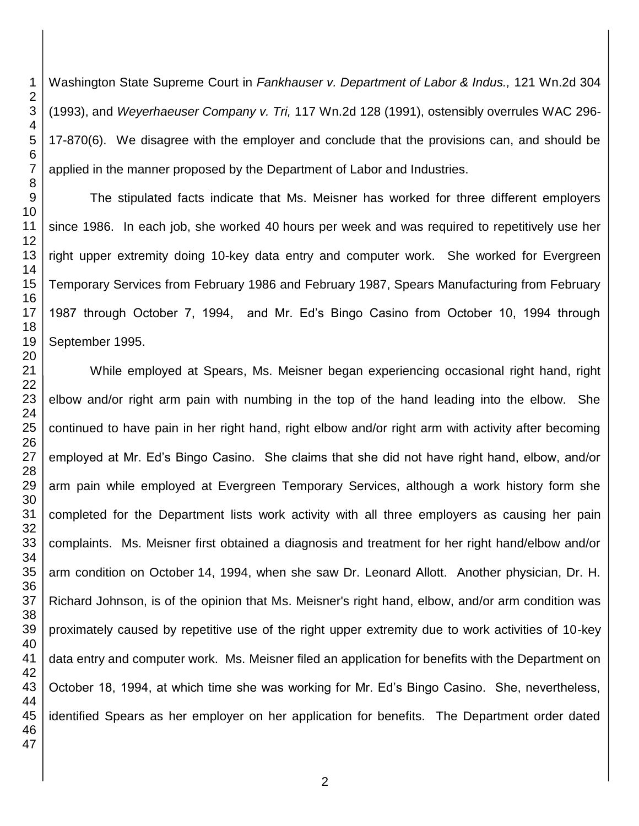Washington State Supreme Court in *Fankhauser v. Department of Labor & Indus.,* 121 Wn.2d 304 (1993), and *Weyerhaeuser Company v. Tri,* 117 Wn.2d 128 (1991), ostensibly overrules WAC 296- 17-870(6). We disagree with the employer and conclude that the provisions can, and should be applied in the manner proposed by the Department of Labor and Industries.

The stipulated facts indicate that Ms. Meisner has worked for three different employers since 1986. In each job, she worked 40 hours per week and was required to repetitively use her right upper extremity doing 10-key data entry and computer work. She worked for Evergreen Temporary Services from February 1986 and February 1987, Spears Manufacturing from February 1987 through October 7, 1994, and Mr. Ed's Bingo Casino from October 10, 1994 through September 1995.

While employed at Spears, Ms. Meisner began experiencing occasional right hand, right elbow and/or right arm pain with numbing in the top of the hand leading into the elbow. She continued to have pain in her right hand, right elbow and/or right arm with activity after becoming employed at Mr. Ed's Bingo Casino. She claims that she did not have right hand, elbow, and/or arm pain while employed at Evergreen Temporary Services, although a work history form she completed for the Department lists work activity with all three employers as causing her pain complaints. Ms. Meisner first obtained a diagnosis and treatment for her right hand/elbow and/or arm condition on October 14, 1994, when she saw Dr. Leonard Allott. Another physician, Dr. H. Richard Johnson, is of the opinion that Ms. Meisner's right hand, elbow, and/or arm condition was proximately caused by repetitive use of the right upper extremity due to work activities of 10-key data entry and computer work. Ms. Meisner filed an application for benefits with the Department on October 18, 1994, at which time she was working for Mr. Ed's Bingo Casino. She, nevertheless, identified Spears as her employer on her application for benefits. The Department order dated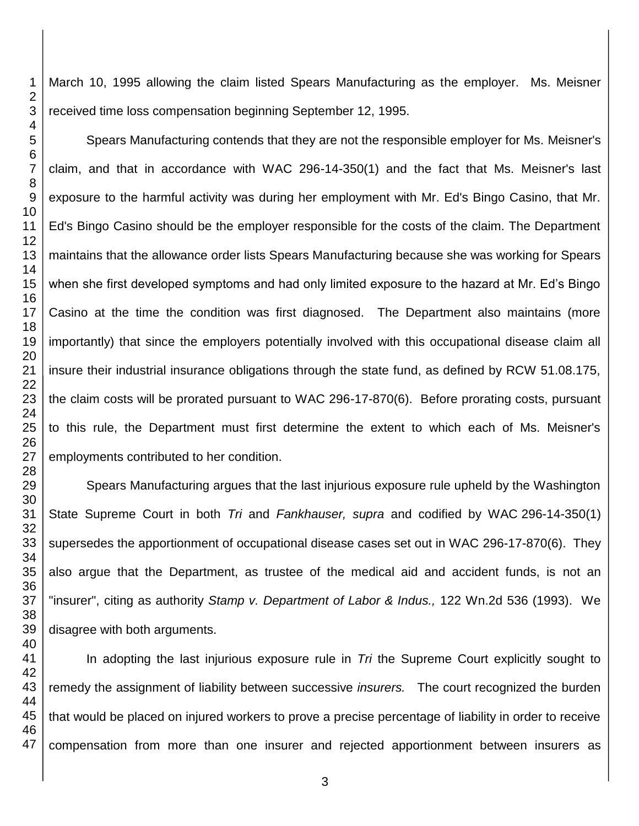March 10, 1995 allowing the claim listed Spears Manufacturing as the employer. Ms. Meisner received time loss compensation beginning September 12, 1995.

Spears Manufacturing contends that they are not the responsible employer for Ms. Meisner's claim, and that in accordance with WAC 296-14-350(1) and the fact that Ms. Meisner's last exposure to the harmful activity was during her employment with Mr. Ed's Bingo Casino, that Mr. Ed's Bingo Casino should be the employer responsible for the costs of the claim. The Department maintains that the allowance order lists Spears Manufacturing because she was working for Spears when she first developed symptoms and had only limited exposure to the hazard at Mr. Ed's Bingo Casino at the time the condition was first diagnosed. The Department also maintains (more importantly) that since the employers potentially involved with this occupational disease claim all insure their industrial insurance obligations through the state fund, as defined by RCW 51.08.175, the claim costs will be prorated pursuant to WAC 296-17-870(6). Before prorating costs, pursuant to this rule, the Department must first determine the extent to which each of Ms. Meisner's employments contributed to her condition.

Spears Manufacturing argues that the last injurious exposure rule upheld by the Washington State Supreme Court in both *Tri* and *Fankhauser, supra* and codified by WAC 296-14-350(1) supersedes the apportionment of occupational disease cases set out in WAC 296-17-870(6). They also argue that the Department, as trustee of the medical aid and accident funds, is not an "insurer", citing as authority *Stamp v. Department of Labor & Indus.,* 122 Wn.2d 536 (1993). We disagree with both arguments.

In adopting the last injurious exposure rule in *Tri* the Supreme Court explicitly sought to remedy the assignment of liability between successive *insurers.* The court recognized the burden that would be placed on injured workers to prove a precise percentage of liability in order to receive compensation from more than one insurer and rejected apportionment between insurers as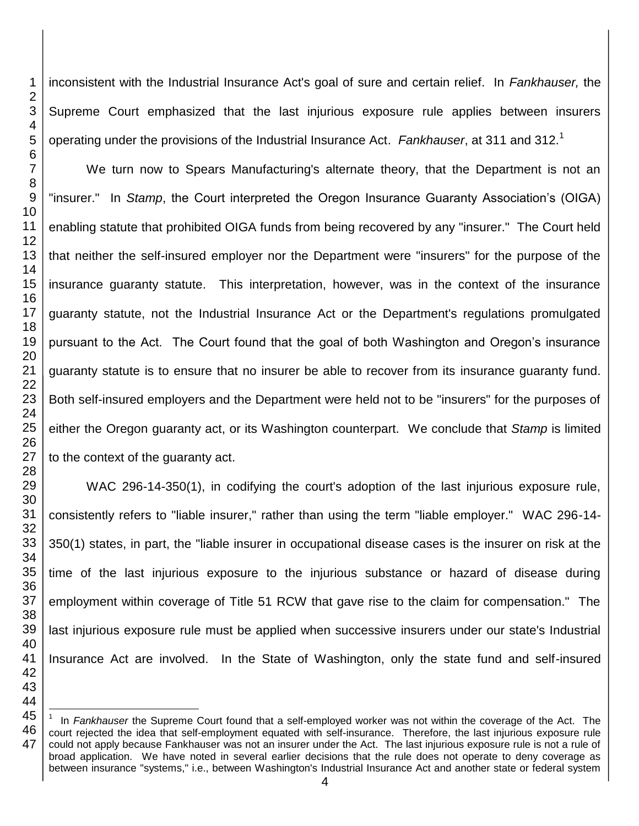$\overline{\phantom{a}}$ 

inconsistent with the Industrial Insurance Act's goal of sure and certain relief. In *Fankhauser,* the Supreme Court emphasized that the last injurious exposure rule applies between insurers operating under the provisions of the Industrial Insurance Act. *Fankhauser*, at 311 and 312.<sup>1</sup>

We turn now to Spears Manufacturing's alternate theory, that the Department is not an "insurer." In *Stamp*, the Court interpreted the Oregon Insurance Guaranty Association's (OIGA) enabling statute that prohibited OIGA funds from being recovered by any "insurer." The Court held that neither the self-insured employer nor the Department were "insurers" for the purpose of the insurance guaranty statute. This interpretation, however, was in the context of the insurance guaranty statute, not the Industrial Insurance Act or the Department's regulations promulgated pursuant to the Act. The Court found that the goal of both Washington and Oregon's insurance guaranty statute is to ensure that no insurer be able to recover from its insurance guaranty fund. Both self-insured employers and the Department were held not to be "insurers" for the purposes of either the Oregon guaranty act, or its Washington counterpart.We conclude that *Stamp* is limited to the context of the guaranty act.

WAC 296-14-350(1), in codifying the court's adoption of the last injurious exposure rule, consistently refers to "liable insurer," rather than using the term "liable employer." WAC 296-14- 350(1) states, in part, the "liable insurer in occupational disease cases is the insurer on risk at the time of the last injurious exposure to the injurious substance or hazard of disease during employment within coverage of Title 51 RCW that gave rise to the claim for compensation." The last injurious exposure rule must be applied when successive insurers under our state's Industrial Insurance Act are involved. In the State of Washington, only the state fund and self-insured

 In *Fankhauser* the Supreme Court found that a self-employed worker was not within the coverage of the Act. The court rejected the idea that self-employment equated with self-insurance. Therefore, the last injurious exposure rule could not apply because Fankhauser was not an insurer under the Act. The last injurious exposure rule is not a rule of broad application. We have noted in several earlier decisions that the rule does not operate to deny coverage as between insurance "systems," i.e., between Washington's Industrial Insurance Act and another state or federal system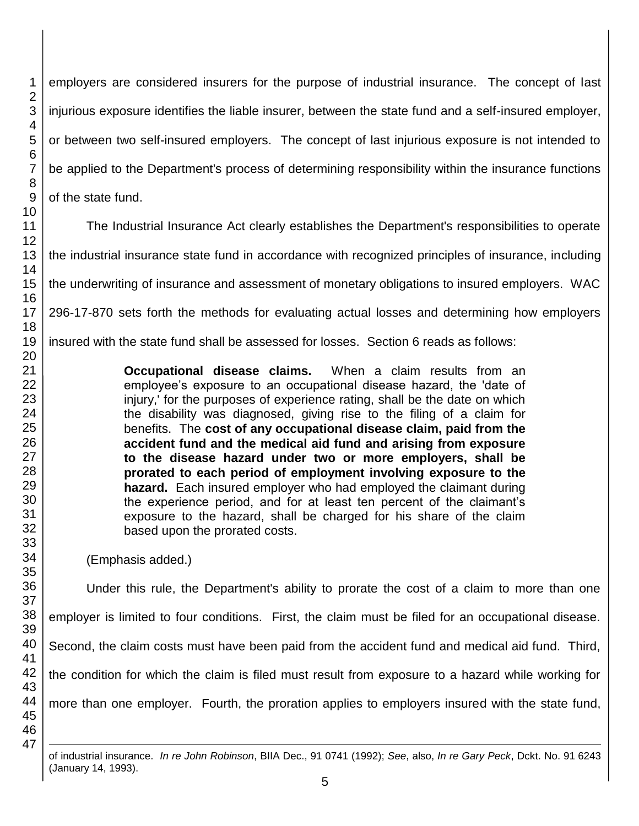employers are considered insurers for the purpose of industrial insurance. The concept of last injurious exposure identifies the liable insurer, between the state fund and a self-insured employer, or between two self-insured employers. The concept of last injurious exposure is not intended to be applied to the Department's process of determining responsibility within the insurance functions of the state fund.

The Industrial Insurance Act clearly establishes the Department's responsibilities to operate the industrial insurance state fund in accordance with recognized principles of insurance, including the underwriting of insurance and assessment of monetary obligations to insured employers. WAC 296-17-870 sets forth the methods for evaluating actual losses and determining how employers

insured with the state fund shall be assessed for losses. Section 6 reads as follows:

**Occupational disease claims.** When a claim results from an employee's exposure to an occupational disease hazard, the 'date of injury,' for the purposes of experience rating, shall be the date on which the disability was diagnosed, giving rise to the filing of a claim for benefits. The **cost of any occupational disease claim, paid from the accident fund and the medical aid fund and arising from exposure to the disease hazard under two or more employers, shall be prorated to each period of employment involving exposure to the hazard.** Each insured employer who had employed the claimant during the experience period, and for at least ten percent of the claimant's exposure to the hazard, shall be charged for his share of the claim based upon the prorated costs.

(Emphasis added.)

Under this rule, the Department's ability to prorate the cost of a claim to more than one employer is limited to four conditions. First, the claim must be filed for an occupational disease.

Second, the claim costs must have been paid from the accident fund and medical aid fund. Third,

the condition for which the claim is filed must result from exposure to a hazard while working for

more than one employer. Fourth, the proration applies to employers insured with the state fund,

of industrial insurance. *In re John Robinson*, BIIA Dec., 91 0741 (1992); *See*, also, *In re Gary Peck*, Dckt. No. 91 6243 (January 14, 1993).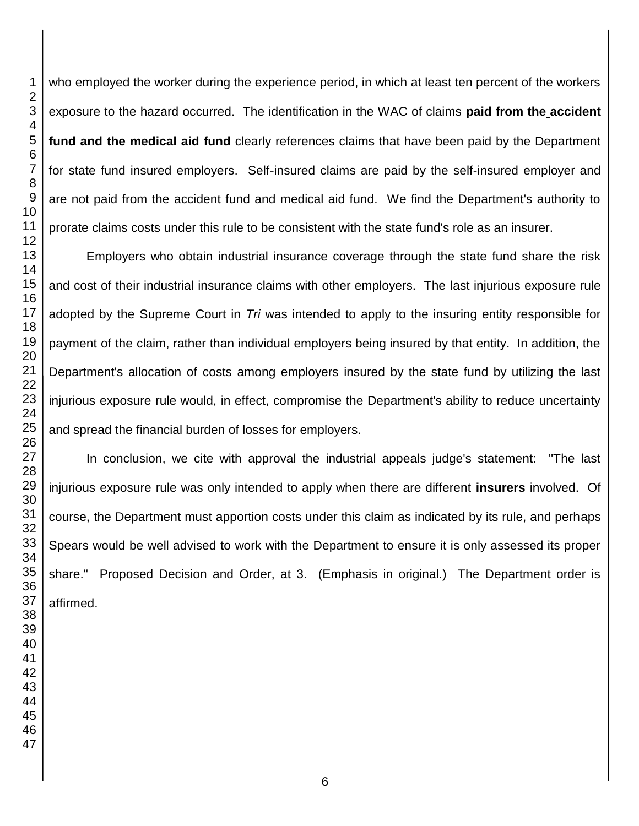who employed the worker during the experience period, in which at least ten percent of the workers exposure to the hazard occurred. The identification in the WAC of claims **paid from the accident fund and the medical aid fund** clearly references claims that have been paid by the Department for state fund insured employers. Self-insured claims are paid by the self-insured employer and are not paid from the accident fund and medical aid fund. We find the Department's authority to prorate claims costs under this rule to be consistent with the state fund's role as an insurer.

Employers who obtain industrial insurance coverage through the state fund share the risk and cost of their industrial insurance claims with other employers. The last injurious exposure rule adopted by the Supreme Court in *Tri* was intended to apply to the insuring entity responsible for payment of the claim, rather than individual employers being insured by that entity. In addition, the Department's allocation of costs among employers insured by the state fund by utilizing the last injurious exposure rule would, in effect, compromise the Department's ability to reduce uncertainty and spread the financial burden of losses for employers.

In conclusion, we cite with approval the industrial appeals judge's statement: "The last injurious exposure rule was only intended to apply when there are different **insurers** involved. Of course, the Department must apportion costs under this claim as indicated by its rule, and perhaps Spears would be well advised to work with the Department to ensure it is only assessed its proper share." Proposed Decision and Order, at 3. (Emphasis in original.) The Department order is affirmed.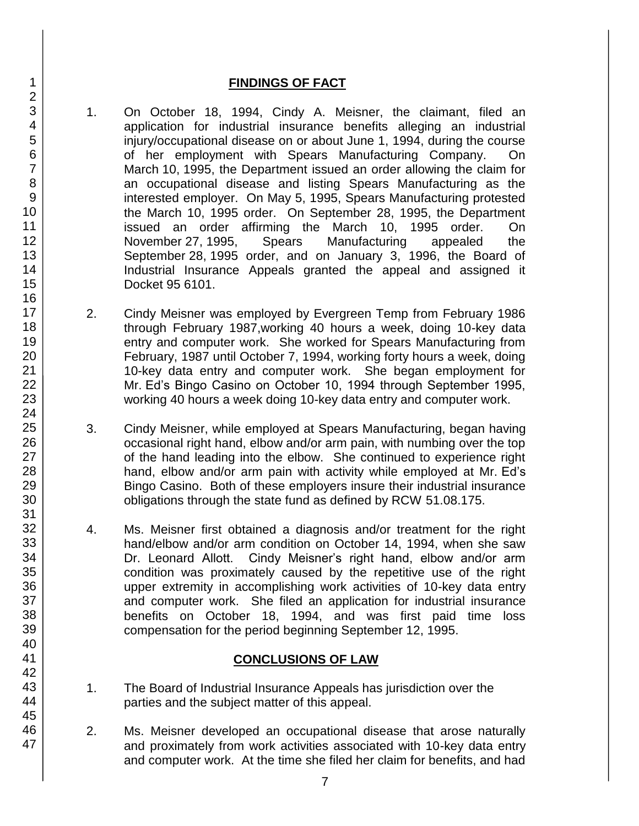### **FINDINGS OF FACT**

- 1. On October 18, 1994, Cindy A. Meisner, the claimant, filed an application for industrial insurance benefits alleging an industrial injury/occupational disease on or about June 1, 1994, during the course of her employment with Spears Manufacturing Company. On March 10, 1995, the Department issued an order allowing the claim for an occupational disease and listing Spears Manufacturing as the interested employer. On May 5, 1995, Spears Manufacturing protested the March 10, 1995 order. On September 28, 1995, the Department issued an order affirming the March 10, 1995 order. On November 27, 1995, Spears Manufacturing appealed the September 28, 1995 order, and on January 3, 1996, the Board of Industrial Insurance Appeals granted the appeal and assigned it Docket 95 6101.
- 2. Cindy Meisner was employed by Evergreen Temp from February 1986 through February 1987,working 40 hours a week, doing 10-key data entry and computer work. She worked for Spears Manufacturing from February, 1987 until October 7, 1994, working forty hours a week, doing 10-key data entry and computer work. She began employment for Mr. Ed's Bingo Casino on October 10, 1994 through September 1995, working 40 hours a week doing 10-key data entry and computer work.
- 3. Cindy Meisner, while employed at Spears Manufacturing, began having occasional right hand, elbow and/or arm pain, with numbing over the top of the hand leading into the elbow. She continued to experience right hand, elbow and/or arm pain with activity while employed at Mr. Ed's Bingo Casino. Both of these employers insure their industrial insurance obligations through the state fund as defined by RCW 51.08.175.
- 4. Ms. Meisner first obtained a diagnosis and/or treatment for the right hand/elbow and/or arm condition on October 14, 1994, when she saw Dr. Leonard Allott. Cindy Meisner's right hand, elbow and/or arm condition was proximately caused by the repetitive use of the right upper extremity in accomplishing work activities of 10-key data entry and computer work. She filed an application for industrial insurance benefits on October 18, 1994, and was first paid time loss compensation for the period beginning September 12, 1995.

# **CONCLUSIONS OF LAW**

- 1. The Board of Industrial Insurance Appeals has jurisdiction over the parties and the subject matter of this appeal.
- 2. Ms. Meisner developed an occupational disease that arose naturally and proximately from work activities associated with 10-key data entry and computer work. At the time she filed her claim for benefits, and had